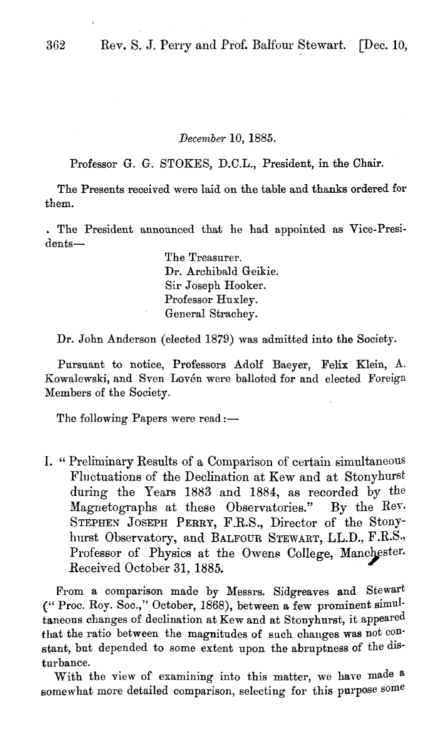## *lJecember* 10, 1885.

Professor G. G. STOKES, D.C.L., President, in the Chair.

The Presents received were laid on the table and thanks ordered for them.

.. The President announced that he had appointed as Vice-Presidents-

> The Treasurer. Dr. Archibald Geikie. Sir Joseph Hooker. Professor Huxley. General Strachey.

Dr. John Anderson (elected 1879) was admitted into the Society.

Pursuant to notice, Professors Adolf Baeyer, Felix Klein, A. Kowalewski, and Sven Lovén were balloted for and elected Foreign Members of the Society.

The following Papers were read :-

1. "Preliminary Results of a Comparison of certain simultaneous Fluctuations of the Declination at Kew and at Stonyhurst during the Years 1883 and 1884, as recorded by the Magnetographs at these Observatories." By the Rev. Magnetographs at these Observatories." STEPHEN JOSEPH PERRY, F.R.S., Director of the Stonyhurst Observatory, and BALFOUR STEWART, LL.D., F.R.S., Professor of Physics at the Owens College, Manchester. Received October 31, 1885.

From a comparison made by Messrs. Sidgreaves and Stewart (" Proc. Roy. Soc.," October, 1868), between a few prominent simultaneous changes of declination at Kew and at Stonyhurst, it appeared that the ratio between the magnitudes of such changes was not constant, but depended to some extent upon the abruptness of the disturbance.

With the view of examining into this matter, we have made a somewhat more detailed comparison, selecting for this purpose some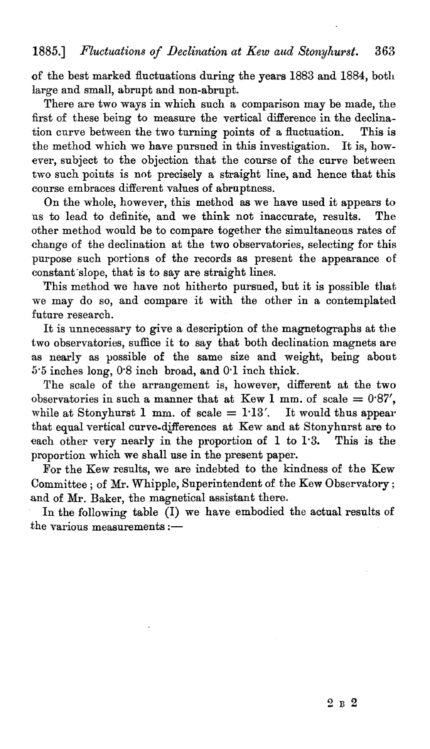of the best marked fluctuations during the years 1883 and 1884, both large and small, abrupt and non-abrupt.

There are two ways in which such a comparison may be made, the first of these being to measure the vertical difference in the declination curve between the two turning points of a fluctuation. This is the method which we have pursued in this investigation. It is, however, subject to the objection that the course of the curve between two such points is not precisely a straight line, and hence that this course embraces different values of abruptness.

On the whole, however, this method as we have used it appears to to lead to definite, and we think not inaccurate, results. The us to lead to definite, and we think not inaccurate, results. other method would be to compare together the simultaneous rates of .change of the declination at the two observatories, selecting for this purpose such portions of the records as present the appearance of constant slope, that is to say are straight lines.

This method we have not hitherto pursued, but it is possible that we may do so, and compare it with the other in a contemplated future research.

It is unnecessary to give a description of the magnetographs at the two observatories, suffice it to say that both declination magnets are as nearly as possible of the same size and weight, being about 5'5 inches long, 0'8 inch broad, and 0'1 inch thick.

The scale of the arrangement is, however, different at the two observatories in such a manner that at Kew 1 mm. of scale =  $0.87'$ , while at Stonyhurst 1 mm. of scale  $= 1.13'$ . It would thus appear that equal vertical curve-differences at Kew and at Stonyhurst are to each other very nearly in the proportion of 1 to 1'3. This is the proportion which we shall use in the present paper.

For the Kew results, we are indebted to the kindness of the Kew Committee; of Mr. Whipple, Superintendent of the Kew Observatory; and of Mr. Baker, the magnetical assistant there.

In the following table (I) we have embodied the actual results of the various measurements  $:=$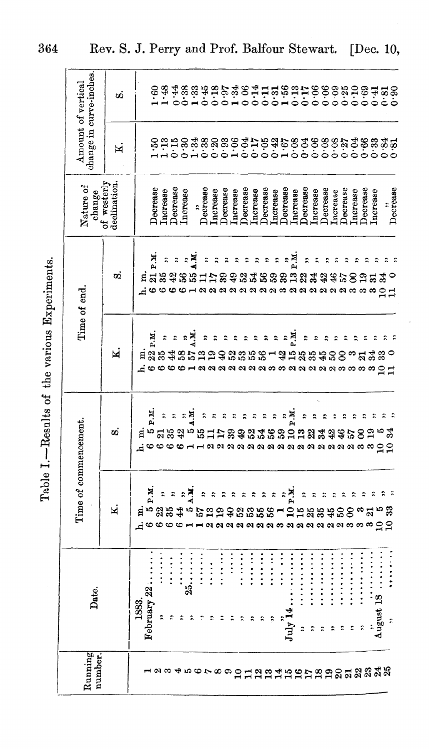| J                                 |
|-----------------------------------|
| <b><i><u>ALCOHOL: 011</u></i></b> |
| $\frac{1}{2}$<br>)<br>            |
| Ì<br>くそになる                        |
| ľ                                 |

| change in curve-inches.            | ωó          |           | $\begin{array}{c} 6.6 \\ 1.48 \end{array}$ |                                         |                      |                      |    |                                                                            |                      |                                                                                                                                                                                                                                                                                               |                |                                                                        |                                                                              |                      |                      |                                        |                         |                                 |                           |                      | りのようしりょうりりつようりゅうりゅうりゅうりゅうか。 おおばない いいりょうじゅうじゅうしゅうしゅう |                 |                         |          |                          |                      |          |
|------------------------------------|-------------|-----------|--------------------------------------------|-----------------------------------------|----------------------|----------------------|----|----------------------------------------------------------------------------|----------------------|-----------------------------------------------------------------------------------------------------------------------------------------------------------------------------------------------------------------------------------------------------------------------------------------------|----------------|------------------------------------------------------------------------|------------------------------------------------------------------------------|----------------------|----------------------|----------------------------------------|-------------------------|---------------------------------|---------------------------|----------------------|-----------------------------------------------------|-----------------|-------------------------|----------|--------------------------|----------------------|----------|
| Amount of vertical                 | N           |           | ៓                                          |                                         |                      |                      |    |                                                                            |                      |                                                                                                                                                                                                                                                                                               |                |                                                                        |                                                                              |                      |                      |                                        |                         |                                 |                           |                      |                                                     |                 |                         |          |                          |                      |          |
| change<br>of westerly<br>Nature of | declination |           | Decrease<br>Increase                       |                                         | Decrease<br>Increase |                      |    | Decrease                                                                   | Increase             | Decrease                                                                                                                                                                                                                                                                                      | Increase       | Decrease                                                               | <b>Increase</b>                                                              | Decrease             | Increase             | Decrease                               | Increase                | Decrease                        | Increase                  | Decrease             | Increase                                            | Decrease        | Increase                | Decrease | Increase                 | $\ddot{\phantom{0}}$ | Decrease |
|                                    | øά          |           | I P.M.<br>ឨដង                              |                                         | $\ddot{\phantom{0}}$ |                      | и. |                                                                            |                      |                                                                                                                                                                                                                                                                                               | $\ddot{ }$     | ።                                                                      | $\begin{array}{c} \alpha \alpha \alpha \alpha \alpha \alpha \end{array}$     |                      | $\ddot{ }$           |                                        | и.<br>И                 | conat                           |                           | ্ম                   | Α<br>ลลลลลล                                         |                 |                         |          | S                        |                      |          |
| Time of end.                       | N           | я<br>ہ نے | 22 P.M.                                    | $\ddot{\cdot}$                          | $\ddot{\phantom{0}}$ | R<br>38 <sub>a</sub> | E  | $\ddot{\phantom{0}}$<br>ដីទង                                               | $\ddot{\phantom{0}}$ | ።                                                                                                                                                                                                                                                                                             | $\ddot{\cdot}$ | $\ddot{\cdot}$                                                         | $\ddot{\phantom{0}}$<br>3358<br>$\alpha$ $\alpha$ $\alpha$ $\alpha$ $\alpha$ | $\ddot{\phantom{1}}$ | $\ddot{\phantom{0}}$ | $\ddot{\cdot}$                         | М.                      | $\ddot{ }$<br>- \$ \$ \$ \$ \$  | $\ddot{ }$                | $\ddot{\phantom{0}}$ | $\ddot{\cdot}$<br>S,<br>a a a a a a a a a a a g g   | $\ddot{ }$<br>8 | ።<br>° ದ ಪೆ             | î,       |                          | ೫                    |          |
|                                    | σÖ          | 目         | Кq<br>۱O                                   | $\ddot{\cdot}$                          | $\ddot{\phantom{1}}$ | $z =$                |    |                                                                            |                      |                                                                                                                                                                                                                                                                                               |                | ÷<br>₽                                                                 | $\ddot{\cdot}$<br>2463                                                       | ።                    | $\ddot{\phantom{0}}$ | الا<br>الأم                            | $\overline{a}$          | ።<br>$\mathbf{r}$<br>aaaaaaaaaa |                           |                      |                                                     | ።               | ።<br>$\approx$ $\infty$ | 8        | ప్లే ప<br>$\infty$       | ខទ                   |          |
| Time of commencement.              | K           | Ħ         | и<br>Р<br>۱Q                               |                                         |                      | ЖT<br>$\ddot{\cdot}$ |    |                                                                            |                      |                                                                                                                                                                                                                                                                                               |                |                                                                        | ลลลลลลล                                                                      |                      |                      | $\ddot{ }$                             | 10P.M                   |                                 |                           |                      | ลลลลล                                               | S               |                         |          | $\circ$                  |                      |          |
| Date.                              |             | 1883.     | February 22                                | $\ddot{\cdot}$ : $\ddot{\cdot}$ :<br>r, | $\ddot{.}$           | 25                   |    | $\ddot{\cdot}$ $\ddot{\cdot}$ $\ddot{\cdot}$ $\ddot{\cdot}$ $\ddot{\cdot}$ | $\vdots$             | $\ddot{}}$ : $\ddot{}}$ : $\ddot{}}$ : $\ddot{}}$ : $\ddot{}}$ : $\ddot{}}$ : $\ddot{}}$ : $\ddot{}}$ : $\ddot{}}$ : $\ddot{}}$ : $\ddot{}}$ : $\ddot{}}$ : $\ddot{}}$ : $\ddot{}}$ : $\ddot{}}$ : $\ddot{}}$ : $\ddot{}}$ : $\ddot{}}$ : $\ddot{}}$ : $\ddot{}}$ : $\ddot{}}$ : $\ddot{}}$ : | $\vdots$       | $\begin{array}{c} \n\vdots \\ \vdots \\ \vdots \\ \vdots\n\end{array}$ | $\ddot{}}$ : $\ddot{}}$ : $\ddot{}}$ : $\ddot{}}$ :                          |                      | $\ddot{r}$           | $\ddot{ }$ : $\ddot{ }$ : $\ddot{ }$ : | <br>$\mathrm{July\ 14}$ | <br>።                           | .<br>$\ddot{\phantom{0}}$ | <br>$\ddot{ }$       | .<br>÷                                              | .               | $\ddot{z}$              |          | $\lim_{n \to \infty}$ 18 |                      |          |
| Running<br>number.                 |             |           |                                            |                                         |                      |                      |    |                                                                            |                      |                                                                                                                                                                                                                                                                                               |                |                                                                        |                                                                              |                      |                      |                                        |                         |                                 |                           |                      | 6789012345mmかねりかれぬぬみあ                               |                 |                         |          |                          |                      |          |

Rev. S. J. Perry and Prof. Balfour Stewart. [Dec. 10,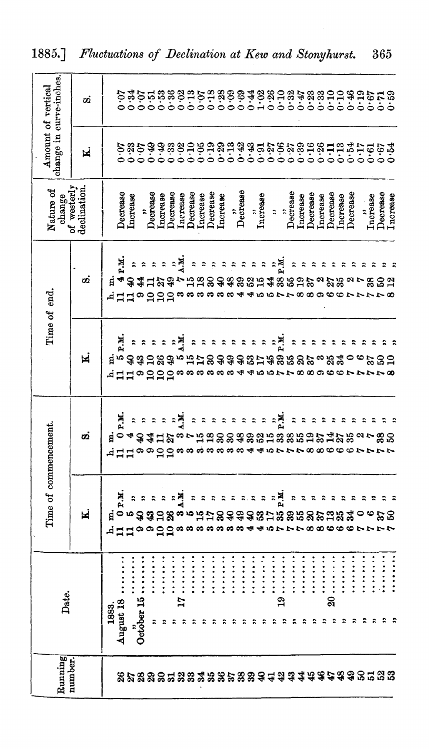| Running<br>number.           | Date.                                                                                                                                                                                                                                                                                                                             |                                                  | Time of commencement.                                                                    |                           | Time of end.                                                                                                              | change<br>of westerly<br>Nature of | change in curve-inches.<br>Amount of vertical |                                                                                          |
|------------------------------|-----------------------------------------------------------------------------------------------------------------------------------------------------------------------------------------------------------------------------------------------------------------------------------------------------------------------------------|--------------------------------------------------|------------------------------------------------------------------------------------------|---------------------------|---------------------------------------------------------------------------------------------------------------------------|------------------------------------|-----------------------------------------------|------------------------------------------------------------------------------------------|
|                              |                                                                                                                                                                                                                                                                                                                                   | N.                                               | øż                                                                                       | M                         | ø.                                                                                                                        | declination                        | N                                             | σi                                                                                       |
|                              | 1883.                                                                                                                                                                                                                                                                                                                             |                                                  |                                                                                          |                           | ដ                                                                                                                         |                                    |                                               |                                                                                          |
|                              | August 18                                                                                                                                                                                                                                                                                                                         | Ж<br>$i$ っ, っ す お こ ぷ … 。 に こ ぷ ぷ 。<br>dddooddaa | <b>티<sub>ㅇ</sub>4경소니임</b><br>역 - 보 - 보 - 리<br>ュロロ ๑ ๑ ๑ ๑ ๑ ๑ ๑ ๑ ๑ ๑ ๑ ๑ ๑ <del>.</del> | P.M<br><b>ਥੋ ききこまき</b>    | F.H.                                                                                                                      |                                    |                                               |                                                                                          |
|                              |                                                                                                                                                                                                                                                                                                                                   |                                                  |                                                                                          | ÷,                        |                                                                                                                           | Decrease<br>Increase               |                                               |                                                                                          |
|                              | <br>October 15                                                                                                                                                                                                                                                                                                                    |                                                  |                                                                                          | $\ddot{\phantom{0}}$      | $z \thickapprox$                                                                                                          |                                    |                                               |                                                                                          |
|                              |                                                                                                                                                                                                                                                                                                                                   | 도 지도 지도 지금                                       |                                                                                          | $\ddot{ }$                | 4 3 4 4 2 3 4 5 5 8 6 6 6 7 6 7 6 7 7 8 7 8 7                                                                             | Decrease                           |                                               |                                                                                          |
|                              |                                                                                                                                                                                                                                                                                                                                   |                                                  |                                                                                          | $\ddot{\phantom{a}}$      |                                                                                                                           | <b>Increase</b>                    |                                               |                                                                                          |
|                              | :<br>: : : : : : :                                                                                                                                                                                                                                                                                                                |                                                  |                                                                                          | $\ddot{\text{}}$          | $z = 2$                                                                                                                   | Decrease                           |                                               |                                                                                          |
|                              | $\frac{1}{2}$ , $\frac{1}{2}$ , $\frac{1}{2}$ , $\frac{1}{2}$ , $\frac{1}{2}$ , $\frac{1}{2}$                                                                                                                                                                                                                                     |                                                  | ⇒้สู<br>က ရ                                                                              | N.N                       |                                                                                                                           | Increase                           |                                               |                                                                                          |
| **************************** |                                                                                                                                                                                                                                                                                                                                   | $\ddot{\phantom{0}}$                             | $\ddot{\cdot}$                                                                           | an<br>Si                  | $\ddot{\cdot}$                                                                                                            | Decrease                           |                                               |                                                                                          |
|                              |                                                                                                                                                                                                                                                                                                                                   | $\ddot{\phantom{0}}$<br>∞                        |                                                                                          |                           | $\ddot{\mathbf{z}}$                                                                                                       |                                    |                                               |                                                                                          |
|                              | $\ddotsc$                                                                                                                                                                                                                                                                                                                         | $\ddot{\cdot}$                                   | $\ddot{\cdot}$                                                                           |                           | $\ddot{\gamma}$                                                                                                           | Increase<br>Decrease               |                                               |                                                                                          |
|                              | :<br>:::::                                                                                                                                                                                                                                                                                                                        | $\ddot{\phantom{1}}$<br>œ                        | $\ddot{\textbf{z}}$                                                                      | <b>옹숭念</b>                |                                                                                                                           | Increase                           |                                               |                                                                                          |
|                              | $\ddot{ }$ : $\ddot{ }$ : $\ddot{ }$ : $\ddot{ }$ : $\ddot{ }$ :                                                                                                                                                                                                                                                                  | ÷,<br>$\bullet$                                  |                                                                                          |                           |                                                                                                                           |                                    |                                               |                                                                                          |
|                              | :::::                                                                                                                                                                                                                                                                                                                             | Α.<br>9<br>ಣ ಈ                                   | $\ddot{z}$                                                                               | $\ddot{\phantom{0}}$<br>₽ | $\begin{array}{cccccccccc} \mathcal{R} & \mathcal{R} & \mathcal{R} & \mathcal{R} & \mathcal{R} & \mathcal{R} \end{array}$ | $\mathop{\mathrm{Dercrase}}$       |                                               |                                                                                          |
|                              | ::::::                                                                                                                                                                                                                                                                                                                            | ÷,<br>S                                          |                                                                                          | $\ddot{\phantom{1}}$      |                                                                                                                           |                                    |                                               |                                                                                          |
|                              | $\frac{1}{2}$                                                                                                                                                                                                                                                                                                                     | $\ddot{\cdot}$<br>37<br>₩                        | $\mathbb{R}^n$<br>393362<br>402                                                          | $\ddot{ }$<br>8488885     |                                                                                                                           | Increase                           |                                               |                                                                                          |
|                              |                                                                                                                                                                                                                                                                                                                                   | $\sim$                                           | $\ddot{P}$ $\ddot{R}$                                                                    |                           |                                                                                                                           | $\ddot{ }$                         |                                               |                                                                                          |
|                              | .<br>.<br>$\frac{6}{11}$<br>÷,                                                                                                                                                                                                                                                                                                    | .<br>무료<br>33                                    |                                                                                          | .<br>고                    | n<br>모                                                                                                                    | $\ddot{ }$                         |                                               |                                                                                          |
|                              | <br>÷,                                                                                                                                                                                                                                                                                                                            | $\ddot{\phantom{0}}$<br>39                       | $\ddot{ }$                                                                               | $\ddot{\phantom{0}}$<br>r | $\ddot{\text{}}$                                                                                                          | Decrease                           |                                               |                                                                                          |
|                              | ::::::<br>t,                                                                                                                                                                                                                                                                                                                      | ።<br>ន                                           | ÷,                                                                                       |                           | $\ddot{\phantom{0}}$                                                                                                      | Increase                           |                                               |                                                                                          |
|                              | ::::::<br>$\ddot{\textbf{z}}$                                                                                                                                                                                                                                                                                                     | R<br>ଛ                                           | $\ddot{\phantom{0}}$<br>œ                                                                |                           | ÷,                                                                                                                        | Decrease                           |                                               |                                                                                          |
|                              |                                                                                                                                                                                                                                                                                                                                   | ÷,<br>돎                                          | R                                                                                        |                           | ÷,<br>ময়                                                                                                                 | <b>Increase</b>                    |                                               |                                                                                          |
|                              | $20 \ldots$<br>2.5                                                                                                                                                                                                                                                                                                                | ።<br><b>323</b>                                  | $\ddot{\phantom{0}}$                                                                     | ి సిని                    | R                                                                                                                         | Decrease                           |                                               |                                                                                          |
|                              | $\ddot{}\ddot{}\ddot{}$<br>÷                                                                                                                                                                                                                                                                                                      | ።                                                | ÷<br>중                                                                                   |                           | ÷                                                                                                                         | <b>Increase</b>                    |                                               |                                                                                          |
|                              | <br>$\ddot{\phantom{0}}$                                                                                                                                                                                                                                                                                                          | ።                                                |                                                                                          | 0                         | ።                                                                                                                         | Decrease                           |                                               |                                                                                          |
|                              | :<br>:<br>:<br>:<br>።                                                                                                                                                                                                                                                                                                             | ድ                                                |                                                                                          | $\bullet$                 | ።                                                                                                                         |                                    |                                               |                                                                                          |
|                              | $\frac{1}{2}$ : $\frac{1}{2}$ : $\frac{1}{2}$ : $\frac{1}{2}$ : $\frac{1}{2}$ : $\frac{1}{2}$ : $\frac{1}{2}$ : $\frac{1}{2}$ : $\frac{1}{2}$ : $\frac{1}{2}$ : $\frac{1}{2}$ : $\frac{1}{2}$ : $\frac{1}{2}$ : $\frac{1}{2}$ : $\frac{1}{2}$ : $\frac{1}{2}$ : $\frac{1}{2}$ : $\frac{1}{2}$ : $\frac{1$<br>$\ddot{\phantom{0}}$ | ።<br>ండిం<br>111000000011                        | ooorrr                                                                                   | ននួន<br>88886674888       | န္တ<br>丘はは9000g8888884455778896677778                                                                                     | Increase                           |                                               | かいけい 88 3 3 4 2 3 8 9 3 4 9 8 5 9 3 4 8 8 5 5 8 9 9 9 9 9<br>このことうこうこうこうこうこうこうこうこうこうこうこう |
|                              | $\ddot{z}$ , $\ddot{z}$ , $\ddot{z}$ , $\ddot{z}$ , $\ddot{z}$ , $\ddot{z}$<br>÷                                                                                                                                                                                                                                                  |                                                  | 23                                                                                       |                           | ន                                                                                                                         | Decrease                           |                                               |                                                                                          |
|                              |                                                                                                                                                                                                                                                                                                                                   |                                                  |                                                                                          |                           | ្មរ                                                                                                                       | Increase                           |                                               |                                                                                          |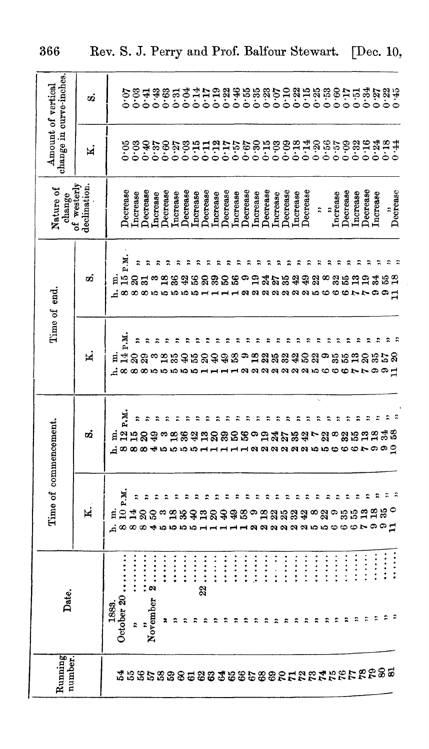| N                    | Time of commencement.              |                                            | Time of end.                          | of westerly<br>declination.<br>Nature of<br>change | Amount of vertical                               | change in curve-inches.    |
|----------------------|------------------------------------|--------------------------------------------|---------------------------------------|----------------------------------------------------|--------------------------------------------------|----------------------------|
|                      | øά                                 | Ħ                                          | ø                                     |                                                    | ×.                                               | σġ                         |
|                      |                                    | ⊿∝∞                                        | я                                     |                                                    |                                                  |                            |
| P.M.<br>$\mathbf{a}$ |                                    |                                            | ч.<br>$\ddot{5}$<br>$\infty$          | Decrease                                           | 0.05                                             |                            |
| R                    | н.<br>12 г.н.<br>15 20<br>යුගගග    | н. н. н.<br>14 г. н.<br>23 З               | នន<br>$\infty$                        | Increase                                           | 0.03                                             | 0.03                       |
|                      | $\ddot{ }$<br>÷,                   |                                            | ထေးလ                                  | $Decrase$<br>ncrease                               | 6.90000                                          | 67.0<br>0.41               |
|                      | $\ddot{\phantom{0}}$               |                                            |                                       | Decrease                                           | 0.60                                             |                            |
|                      | ÷,<br>ოღ<br>もちちゅう                  |                                            |                                       | ncrease                                            |                                                  | esa<br>853                 |
|                      | $\ddot{ }$                         |                                            |                                       | Decrease                                           |                                                  |                            |
|                      | $\ddot{\phantom{0}}$               |                                            |                                       | ncrease                                            |                                                  | 0.14                       |
|                      | $\ddot{\phantom{0}}$               |                                            |                                       | <b>Decrease</b>                                    |                                                  |                            |
|                      | $\ddot{\phantom{0}}$<br>ន          |                                            |                                       | ncrease                                            |                                                  |                            |
| ድ                    | $\ddot{ }$                         | 352333                                     | នី<br>ន                               | <b>Decrease</b>                                    |                                                  |                            |
| ÷,                   | $\ddot{ }$<br>ននន                  | ာ                                          |                                       | ncrease                                            |                                                  |                            |
| ።                    | $\ddot{\phantom{0}}$<br>$\ddot{ }$ | aaaaaaancoocrr                             | - a a a a a a a a a b c c c r r o o H | Decrease<br>ncrease                                | なのむは紅灯でおぼ乱のの紅紅咚冷でのないねは<br>どうこうりつりつりりつりりりりりりりりりつり | ないかかないのかかいのは、このことではないかいこう。 |
|                      | ≌                                  | 12 2 3 3 3 4 5 2 3 5 5 6 7 8 9 9 9 9 9 9 9 |                                       | <b>Decrease</b>                                    |                                                  |                            |
| ÷,                   | $\ddot{\phantom{0}}$<br>35         |                                            |                                       | ncrease                                            |                                                  |                            |
| R                    | R                                  |                                            |                                       | Decrease                                           |                                                  |                            |
| ።                    | $\ddot{\phantom{0}}$<br>ಜೆ         |                                            |                                       | Increase                                           |                                                  |                            |
| ÷,                   | $\ddot{\phantom{0}}$<br>ą          |                                            |                                       | Decrease                                           |                                                  |                            |
| $\ddot{ }$<br>∞ జ    | $\ddot{\phantom{0}}$               | $\ddot{ }$                                 |                                       | $\ddot{ }$                                         |                                                  |                            |
| 2                    | $\ddot{\phantom{0}}$<br>22         | $\ddot{ }$                                 | œ                                     | $\ddot{ }$                                         |                                                  |                            |
| ÷,                   | $\ddot{ }$<br>$\infty$             | $\ddot{\phantom{0}}$                       | 32                                    | Increase                                           |                                                  |                            |
| ።<br>ಾಜಿಜಿ           | $\ddot{\phantom{0}}$<br>3.5        | ።                                          |                                       | Decrease                                           |                                                  |                            |
|                      | ።                                  |                                            | $\mathbf{r}$                          | ncrease                                            |                                                  |                            |
|                      |                                    | ż                                          |                                       | Decrease                                           |                                                  |                            |
| ÷,                   |                                    | $\circ \circ \pi$                          |                                       | Increase                                           |                                                  |                            |
| ።<br>$3\overline{0}$ | $\ddot{ }$<br>$\ddot{ }$           |                                            |                                       |                                                    |                                                  |                            |
|                      | 2233<br>eraaaaaan booceroog        |                                            |                                       | Decrease                                           |                                                  |                            |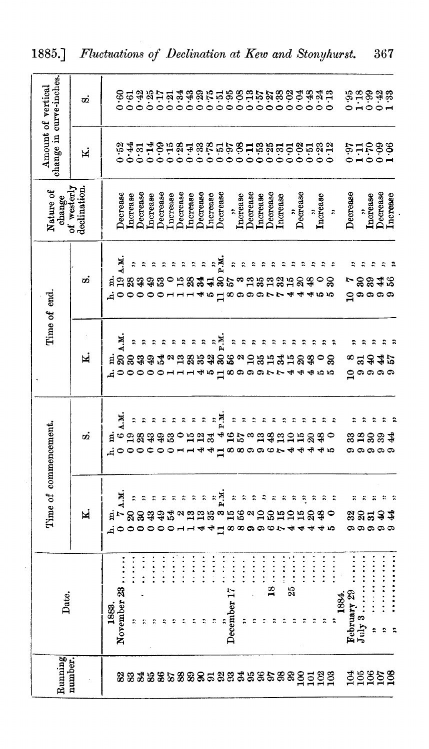| Running<br>number.       | Date.                                                                                                                                                                                                                                                                                                                 |                                                           | Time of commencement.                          |                                                 | Time of end                                                       | Nature of<br>change        | Amount of vertical    | change in curve-inches.                                       |
|--------------------------|-----------------------------------------------------------------------------------------------------------------------------------------------------------------------------------------------------------------------------------------------------------------------------------------------------------------------|-----------------------------------------------------------|------------------------------------------------|-------------------------------------------------|-------------------------------------------------------------------|----------------------------|-----------------------|---------------------------------------------------------------|
|                          |                                                                                                                                                                                                                                                                                                                       | M                                                         | Ø                                              | N                                               | ø                                                                 | of westerly<br>declination | N                     | σĊ                                                            |
|                          | 1883.                                                                                                                                                                                                                                                                                                                 |                                                           |                                                |                                                 |                                                                   |                            |                       |                                                               |
|                          | November 23                                                                                                                                                                                                                                                                                                           | ци<br><b>틱</b> ㄴ영영念찮고<br>れ0000001144日88996744             | r.<br>$i \circ 33333$<br>い0000001144日889967444 | N.N<br><b>티영영경상꽃</b><br>れ0000011145日89997744455 | N.M<br>គ្មន្តធ្នូន<br>dooooonnn40                                 | Decrease                   | 0.52                  | <b>853351253655556555555555555</b><br>85335553565556555555555 |
| 223328533355333585588995 | $\frac{1}{2}$<br>$\ddot{\phantom{1}}$                                                                                                                                                                                                                                                                                 | $\ddot{\phantom{1}}$                                      |                                                |                                                 | $\ddot{z}$                                                        | <b>Increase</b>            |                       |                                                               |
|                          | $\ddot{\phantom{0}}$                                                                                                                                                                                                                                                                                                  | $\ddot{\cdot}$                                            |                                                |                                                 |                                                                   | Decrease                   |                       |                                                               |
|                          | $\ddot{\cdot}$ :<br>$\ddot{ }$                                                                                                                                                                                                                                                                                        |                                                           |                                                |                                                 | $\ddot{z}$                                                        | <b>Increase</b>            |                       |                                                               |
|                          | $\frac{1}{2}$                                                                                                                                                                                                                                                                                                         |                                                           |                                                |                                                 |                                                                   | Decrease                   |                       |                                                               |
|                          | $\vdots$                                                                                                                                                                                                                                                                                                              |                                                           |                                                |                                                 |                                                                   | Increase                   |                       |                                                               |
|                          | $\ddot{\cdot}$                                                                                                                                                                                                                                                                                                        |                                                           |                                                |                                                 |                                                                   | Decrease                   |                       |                                                               |
|                          | $\ddot{\cdot}$                                                                                                                                                                                                                                                                                                        | <u>ង ដង</u>                                               | 0.123                                          | $\ddot{\cdot}$                                  |                                                                   | Increase                   |                       |                                                               |
|                          | $\vdots$<br>÷,                                                                                                                                                                                                                                                                                                        |                                                           |                                                | $\ddot{\cdot}$                                  |                                                                   | Decrease                   |                       |                                                               |
|                          | $\vdots$<br>$\mathbb{R}$                                                                                                                                                                                                                                                                                              | 35                                                        |                                                | $\ddot{ }$<br><u>៰៶ឨឨ៵ឨ៓៓ៜឨ</u>                 | אים<br>באים בישובים<br>1334285                                    | <b>Increase</b>            |                       |                                                               |
|                          |                                                                                                                                                                                                                                                                                                                       |                                                           |                                                | R.M                                             | $\mathbf{\Xi}$                                                    | Decrease                   |                       |                                                               |
|                          | $\vdots$<br>December 17                                                                                                                                                                                                                                                                                               |                                                           | 495<br>40                                      |                                                 |                                                                   | $\ddot{ }$                 |                       |                                                               |
|                          | $\vdots$<br>$\ddot{ }$                                                                                                                                                                                                                                                                                                | $-2$ , $2$ , $2$ , $2$ , $2$ , $2$ , $2$ , $2$<br>いばあるひめは | $z$ $z$ $z$                                    |                                                 | $\frac{1}{2}$<br>るほおおい<br>$\circ$ $\circ$ $\circ$ $\circ$ $\circ$ | Increase                   |                       |                                                               |
|                          | $\ddot{}}$ : $\ddot{}}$ : $\ddot{}}$ : $\ddot{}}$ : $\ddot{}}$ : $\ddot{}}$ : $\ddot{}}$ : $\ddot{}}$ : $\ddot{}}$ : $\ddot{}}$ : $\ddot{}}$ : $\ddot{}}$ : $\ddot{}}$ : $\ddot{}}$ : $\ddot{}}$ : $\ddot{}}$ : $\ddot{}}$ : $\ddot{}}$ : $\ddot{}}$ : $\ddot{}}$ : $\ddot{}}$ : $\ddot{}}$ :<br>$\ddot{\phantom{0}}$ |                                                           |                                                |                                                 |                                                                   | Decrease                   |                       |                                                               |
|                          | $\frac{1}{2}$ . $\frac{1}{2}$ . $\frac{1}{2}$ . $\frac{1}{2}$                                                                                                                                                                                                                                                         |                                                           | <b>ಀ</b> ಪಹೆ ಪರಕ್ಕ                             | $\ddot{z}$<br><b>1854</b>                       | a a a                                                             | Increase                   |                       |                                                               |
|                          | $\ddot{\ddot{\cdot}}$<br>$\frac{8}{1}$                                                                                                                                                                                                                                                                                |                                                           | $\ddot{a}$                                     | $\ddot{ }$                                      |                                                                   | Decrease                   |                       |                                                               |
|                          | $\ddot{.}$                                                                                                                                                                                                                                                                                                            |                                                           | $\ddot{\phantom{0}}$                           |                                                 |                                                                   | Increase                   |                       |                                                               |
|                          |                                                                                                                                                                                                                                                                                                                       | ្អ                                                        | $\ddot{z}$                                     | 10                                              | a a<br>4                                                          | $\ddot{\phantom{0}}$       |                       |                                                               |
|                          | $\ddot{\cdot}$ $\ddot{\cdot}$ $\ddot{\cdot}$<br>÷,                                                                                                                                                                                                                                                                    | Ą<br>15                                                   | ÷,                                             | $\boldsymbol{\mathcal{S}}$                      | $\ddot{ }$<br>$\mathbb{S}$<br>4                                   | Decrease                   |                       |                                                               |
|                          | $\vdots$<br>$\hat{\mathbf{r}}$                                                                                                                                                                                                                                                                                        | $\ddot{\phantom{0}}$<br>$\boldsymbol{\mathcal{S}}$<br>₩   |                                                | $\frac{48}{5}$                                  |                                                                   | $\ddot{\phantom{0}}$       |                       |                                                               |
|                          | $\vdots$                                                                                                                                                                                                                                                                                                              | ።                                                         | Ş                                              |                                                 | ro ro                                                             | Increase                   |                       |                                                               |
|                          | $\ddot{\cdot}$<br>22                                                                                                                                                                                                                                                                                                  |                                                           |                                                | ຂ                                               |                                                                   | $\ddot{ }$                 |                       |                                                               |
|                          | 1884.                                                                                                                                                                                                                                                                                                                 |                                                           |                                                |                                                 |                                                                   |                            |                       |                                                               |
|                          | $\frac{\text{February } 29}{\text{July } 3 \dots \dots}$                                                                                                                                                                                                                                                              |                                                           |                                                | œ                                               | Ļ                                                                 | Decrease                   |                       |                                                               |
|                          | $\ddot{\cdot}$                                                                                                                                                                                                                                                                                                        | ÷                                                         |                                                |                                                 | $\ddot{z}$<br>ಹ ಜ                                                 | $\ddot{\phantom{0}}$       |                       |                                                               |
| 39858                    | ÷,                                                                                                                                                                                                                                                                                                                    | $\ddot{\cdot}$<br>83 B <del>3</del> 4<br><b>ののののの</b>     | <b>នួ</b> កទំនង<br><b>ග ග ග ග</b>              | ÷<br>3322<br>ဌ ၈ ၈ ၈                            | ÷<br>ဍၐၐၐ                                                         | Increase                   | 88815<br>1955<br>1955 | <b>assas</b><br>2000-                                         |
|                          |                                                                                                                                                                                                                                                                                                                       | R                                                         |                                                |                                                 | ς                                                                 | Decrease                   |                       |                                                               |
|                          |                                                                                                                                                                                                                                                                                                                       |                                                           |                                                |                                                 |                                                                   | <b>L</b> ncrease           |                       |                                                               |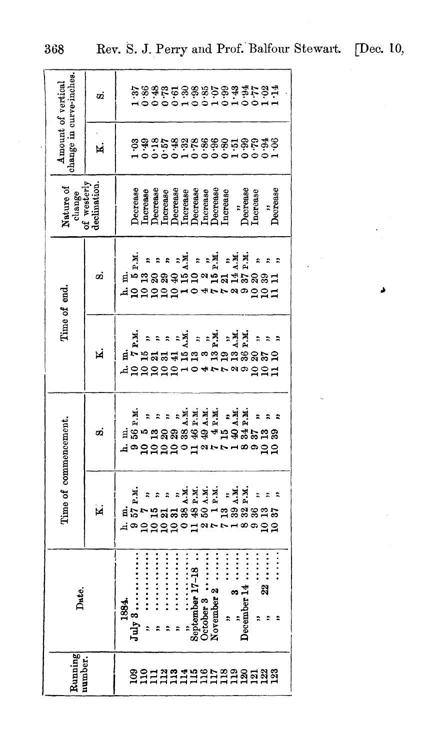| Rumning        | Date.                                                                                                                                                                                                                                                                                                                                                                                                                                                            | Time of commencement.                                                                                                                |                                                                                                                |                                                                                                                                                                                                   | Time of end.                                                                                                                                                                                                                | Nature of<br>change                                                                                                                                            | change in curve-inches.<br>Amount of vertical                        |                                       |
|----------------|------------------------------------------------------------------------------------------------------------------------------------------------------------------------------------------------------------------------------------------------------------------------------------------------------------------------------------------------------------------------------------------------------------------------------------------------------------------|--------------------------------------------------------------------------------------------------------------------------------------|----------------------------------------------------------------------------------------------------------------|---------------------------------------------------------------------------------------------------------------------------------------------------------------------------------------------------|-----------------------------------------------------------------------------------------------------------------------------------------------------------------------------------------------------------------------------|----------------------------------------------------------------------------------------------------------------------------------------------------------------|----------------------------------------------------------------------|---------------------------------------|
| <b>umber</b>   |                                                                                                                                                                                                                                                                                                                                                                                                                                                                  | M                                                                                                                                    | σÕ                                                                                                             | M                                                                                                                                                                                                 | oi                                                                                                                                                                                                                          | of westerly<br>declination.                                                                                                                                    | M                                                                    | σÖ                                    |
| 88113319568888 | $\ddot{ }$<br><br><br><br><br>$\ddot{}}$ : $\ddot{}}$ : $\ddot{}}$ : $\ddot{}}$ : $\ddot{}}$ : $\ddot{}}$ : $\ddot{}}$ : $\ddot{}}$ : $\ddot{}}$ : $\ddot{}}$ : $\ddot{}}$ : $\ddot{}}$ : $\ddot{}}$ : $\ddot{}}$ : $\ddot{}}$ : $\ddot{}}$ : $\ddot{}}$ : $\ddot{}}$ : $\ddot{}}$ : $\ddot{}}$ : $\ddot{}}$ : $\ddot{}}$ :<br>$\ddot{}$<br><br>July3<br>November 2<br>ଅ<br>December 14<br>œ<br>1884.<br>÷,<br>$\ddot{\phantom{0}}$<br>$\ddot{\phantom{0}}$<br>። | HHHH<br>Andri<br>$\frac{1}{4}$ $\frac{1}{2}$ $\frac{1}{2}$<br>ដូង<br>了比如说的第三人称单数说话<br>$\frac{1}{2}$<br>dagaadod<br>œ<br><u>ం ఇ ఇ</u> | $\begin{array}{c}\n\bullet \\ \bullet \\ \bullet \\ \bullet\n\end{array}$<br><b>dedddol</b><br>コーマ<br>œ<br>ືອຊ | . 보<br>4. 보<br>P. H.<br>$\sum_{i=1}^{n}$<br>P.M.<br>.<br>М.<br>$\ddot{\mathbf{z}}$<br>።<br><b>น<sub>ี</sub>่ - ธสธ</b> สติต - ธี ธี ธี ธี ธี ธี ธี ธี<br>dggggg <del>u</del><br>$\alpha$<br>$221$ | ะฐ๋<br>וג<br>גר<br>$\begin{array}{c}\n\bullet \\ \bullet \\ \bullet \\ \bullet \\ \bullet\n\end{array}$<br>F.H<br>$\ddot{ }$<br>$\ddot{\phantom{0}}$<br>ย <sup>ำ</sup> คำสลล\$หลงหลีสีหลีลลี<br><b>ARRASA</b><br>. ๗<br>221 | becrease<br>)естеазе<br>Increase<br>Decrease<br>Decrease<br>Increase<br><b>Lacrease</b><br>Jecrease<br>Increase<br>Decrease<br>Increase<br>ncrease<br>)ecrease | \$\$\$\$\$\$\$\$\$\$\$\$\$\$\$\$<br>\$\$\$\$\$\$\$\$\$\$\$\$\$\$\$\$ | ためおおはいめるひのはんでしょう さくりょうしょう こうしょうしょうしょう |

د

368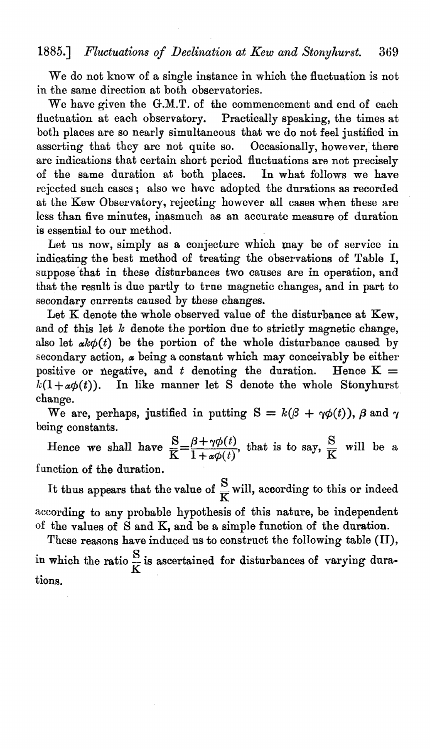## 1885.] *Fluctuations of Declination at Kew and Stonyhurst.* 369

We do not know of a single instance in which the fluctuation is not in the same direction at both observatories.

We have given the G.M.T. of the commencement and end of each fluctuation at each observatory. Practically speaking, the times at both places are so nearly simultaneous that we do not feel justified in asserting that they are not quite so. Occasionally, however, there are indications that certain short period fluctuations are not precisely of the same duration at both places. In what follows we have rejected such cases; also we have adopted the durations as recorded at the Kew Observatory, rejecting however all cases when these are less than five minutes, inasmuch as an accurate measure of duration is essential to our method.

Let us now, simply as a conjecture which may be of service in indicating the best method of treating the observations of Table I, suppose that in these disturbances two causes are in operation, and that the result is due partly to true magnetic changes, and in part to secondary currents caused by these changes.

Let K denote the whole observed value of the disturbance at Kew, and of this let  $k$  denote the portion due to strictly magnetic change, also let  $ak\phi(t)$  be the portion of the whole disturbance caused by secondary action,  $\alpha$  being a constant which may conceivably be either positive or negative, and *t* denoting the duration. Hence  $K =$  $k(1+\alpha\phi(t))$ . In like manner let S denote the whole Stonyhurst change.

We are, perhaps, justified in putting  $S = k(\beta + \gamma \phi(t))$ ,  $\beta$  and  $\gamma$ being constants.

Hence we shall have  $\frac{S}{K} = \frac{\beta + \gamma \phi(t)}{1 + \alpha \phi(t)}$ , that is to say,  $\frac{S}{K}$  will be a function of the duration.

It thus appears that the value of  $\frac{S}{K}$  will, according to this or indeed according to any probable hypothesis of this nature, be independent of the values of Sand K, and be a simple function of the duration.

These reasons have induced us to construct the following table (II), in which the ratio  $\frac{S}{K}$  is ascertained for disturbances of varying durations.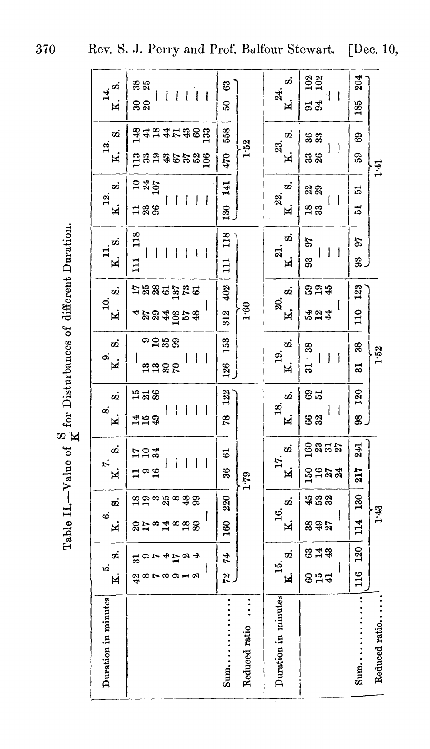| ø<br>$\vec{14}$<br>×.                           | 38<br>25<br>$\perp$<br>l<br>j<br>I<br>$\mathbf{I}$<br>នន                                                        | 63<br>S0                         | o.<br>24.<br>N.                     | 102<br>102<br>┦<br>-1<br>54                                  | 204<br>185            |               |
|-------------------------------------------------|-----------------------------------------------------------------------------------------------------------------|----------------------------------|-------------------------------------|--------------------------------------------------------------|-----------------------|---------------|
| σÖ<br>$\frac{3}{13}$<br>Χ.                      | äääärase<br>មិនទងទំនងនិ                                                                                         | 558<br>1.52<br>470               | Ø<br>23.<br>$\overline{\mathbf{K}}$ | ಜಿ ಜಿ<br>I<br>ļ<br>38<br>26                                  | 69<br>59              | 1.41          |
| ø<br>$\overline{12}$ .<br>K.                    | ្ត្រូង5្ន<br>$\mathbf{I}$<br>$\mathsf{l}$<br>$\overline{1}$<br>$\mathbf{I}$<br>I<br>188                         | 141<br>$\frac{30}{2}$            | σż<br>22.<br>Ħ,                     | 22<br>I<br>$\overline{\phantom{a}}$<br>$\frac{8}{33}$        | ದ<br>51               |               |
| ö.<br>$\overline{\mathbf{K}}$                   | 13 <sub>8</sub><br>ł<br>I<br>ł<br>$\mathbf{I}$<br>I<br>∄                                                        | 118<br>$\Xi$                     | တဲ<br>ন্ন<br>N.                     | 56<br>ł<br>I<br>$\mathbf{1}$<br>33                           | 26<br>33              |               |
| ö<br>ই<br>N.                                    | <b>អងន</b> ុច និងទ<br>ı<br>234253                                                                               | 402<br>1.60<br>312               | ø<br>ସ<br>Ŋ.                        | នួគ្ន<br>Į<br>524<br>42                                      | 123<br>$\frac{10}{2}$ |               |
| oi<br>$\ddot{\circ}$<br>k.                      | ື້ສື<br>$\overline{1}$<br>ł<br>$\mathbf{I}$<br>١<br><b>AASR</b>                                                 | 153<br>126                       | øά<br>$\overline{19}$ .<br>N.       | $31 - 38$<br>$\begin{array}{c} \hline \end{array}$<br>ł<br>I | 88<br>51              | 1.52          |
| øά<br>ಹ<br>N.                                   | <b>358</b><br>$\mathbf{I}$<br>$\overline{\phantom{a}}$<br>$\overline{\phantom{a}}$<br>$\mathbf{I}$<br>45<br>48  | 122<br>28                        | ø<br>28.<br>ĸ.                      | 85<br>l<br>$\mathbf{I}$<br><b>82</b>                         | 120<br>8              |               |
| ø<br>r:<br>×.                                   | <b>704</b><br>i<br>$\overline{\phantom{a}}$<br>$\overline{\phantom{a}}$<br>ł<br>$\overline{\phantom{a}}$<br>1°3 | 51<br>36<br>1.79                 | œ<br>5.<br>N                        | ន្ទ្រនន<br>ន្ទ្រងង                                           | 241<br>217            |               |
| တံ<br>$\ddot{\circ}$<br>$\overline{\mathbf{M}}$ | ၛၟႜႍၣၐ႘ၟၜၛႍ႙ၟ<br>ananga                                                                                         | 220<br>160                       | ø<br>ಇ<br>K.                        | 432<br>Į<br>895                                              | 130<br>114            | 1.43          |
| ä<br>ນລ໋<br>Ħ.                                  | 30741224<br>a se se se s                                                                                        | 74<br>$\frac{1}{2}$              | တ<br>15.<br><b>ki</b>               | 343<br>ł<br><b>854</b>                                       | 120<br>116            |               |
| Duration in minutes                             |                                                                                                                 | $\vdots$<br>Reduced ratio<br>Sum | Duration in minutes                 |                                                              | $sum.$                | Reduced ratio |

Table II.—Value of  $\frac{S}{K}$  for Disturbances of different Duration.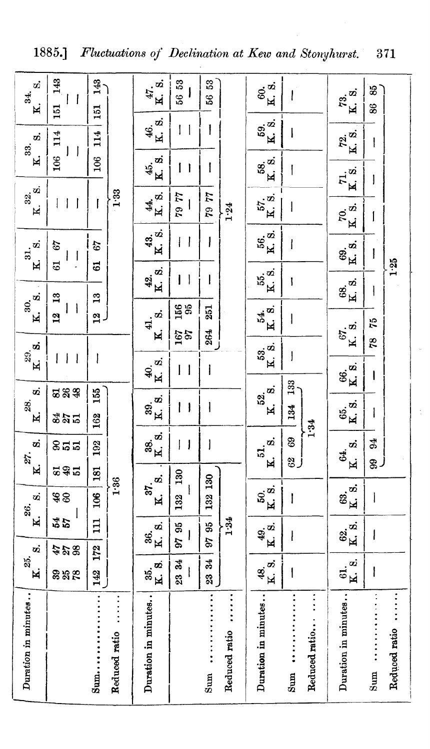| o)<br>34.<br>$\mathbf{R}$         | 143<br>$\overline{\phantom{a}}$<br>151                     | 143<br>151                     |                             | $47.$ $\ddot{8}$ .<br>¥                               | 56 53<br>l                                      | S3<br>56     |                            | 60.<br>K. 81                              | I                                                | $\ddot{r}^3$<br>Ń.        | 83<br>86                                                                                                                                                                                                                                                                                                                                                                         |               |
|-----------------------------------|------------------------------------------------------------|--------------------------------|-----------------------------|-------------------------------------------------------|-------------------------------------------------|--------------|----------------------------|-------------------------------------------|--------------------------------------------------|---------------------------|----------------------------------------------------------------------------------------------------------------------------------------------------------------------------------------------------------------------------------------------------------------------------------------------------------------------------------------------------------------------------------|---------------|
| ø<br>33.                          | 106 114<br>$\vert \vert$                                   | 114                            |                             | $rac{46}{K}$ 8.                                       | ţ<br>$\overline{\phantom{a}}$                   |              |                            | 59.<br>K. 8.                              | ł                                                | K. S.<br>72.              | $\mathbf{I}$                                                                                                                                                                                                                                                                                                                                                                     |               |
| ้ผ่                               |                                                            | 106                            |                             | 45.<br>K. 8.                                          | $\mathbf{I}$                                    | I            |                            | $\mathbf{g}^{\mathbf{w}}$<br>$\mathbf{K}$ | I                                                | $\vec{R}$ is.             | 1                                                                                                                                                                                                                                                                                                                                                                                |               |
| $a^2$<br>K.                       | $\mathbf{I}$<br>$\vert \ \ \vert$                          | $\mathbf{I}$                   | 1.33                        | $\frac{44}{8}$ s.                                     | LL 64                                           | 44 64        | 1.24                       | 57. 81<br>K. 81                           | I                                                | ra.<br>K                  |                                                                                                                                                                                                                                                                                                                                                                                  |               |
| $a, b, \ldots$                    | 29<br>$\overline{\phantom{a}}$<br>Į                        | 67                             |                             | $K^4$ s.                                              | ł<br>$\mathbf{\mathbf{I}}$                      | I            |                            | 36.<br>K                                  | I                                                | 69.<br>K. 8.              | I                                                                                                                                                                                                                                                                                                                                                                                |               |
| $\overline{\mathbf{x}}$           | 61                                                         | $\vec{a}$                      |                             | K. S.<br><u>ą</u>                                     | $\overline{\phantom{a}}$<br>I                   | I            |                            | 15 xi<br>K                                | I                                                | $\frac{68}{K}$ . S.       | $\mathsf{I}$                                                                                                                                                                                                                                                                                                                                                                     | $1.25$        |
| 30, 3<br>$\overline{\mathbf{K}}$  | $\frac{3}{2}$<br>$\overline{\phantom{a}}$<br>$\frac{2}{3}$ | $\mathbf{r}$<br>$\overline{a}$ |                             | $\dot{\bm{w}}$<br>41.                                 | $\frac{156}{95}$                                | 251          |                            | 54.<br>K. 8.                              | I                                                | 67. a                     | 54                                                                                                                                                                                                                                                                                                                                                                               |               |
| $29.$ $\mathbf{S}$ .<br>์<br>ผ    | $\overline{\phantom{a}}$<br>$\overline{\phantom{a}}$<br>I  | I                              |                             | $\overline{\mathbf{M}}$<br>$\frac{40}{\text{K}}$ . S. | $^{167}_{301}$<br>$\overline{\phantom{a}}$<br>I | 264<br>l     |                            | $53 \text{ }\omega$<br>$\mathbf{K}$       | $\overline{\phantom{a}}$                         | $\overline{\mathbf{K}}$ . | 78                                                                                                                                                                                                                                                                                                                                                                               |               |
| တဲ့                               | <b>ESS</b>                                                 |                                |                             |                                                       |                                                 |              |                            | ø                                         | 133                                              | 86.<br>Ka                 | $\begin{array}{c} \rule{0pt}{2.5ex} \rule{0pt}{2.5ex} \rule{0pt}{2.5ex} \rule{0pt}{2.5ex} \rule{0pt}{2.5ex} \rule{0pt}{2.5ex} \rule{0pt}{2.5ex} \rule{0pt}{2.5ex} \rule{0pt}{2.5ex} \rule{0pt}{2.5ex} \rule{0pt}{2.5ex} \rule{0pt}{2.5ex} \rule{0pt}{2.5ex} \rule{0pt}{2.5ex} \rule{0pt}{2.5ex} \rule{0pt}{2.5ex} \rule{0pt}{2.5ex} \rule{0pt}{2.5ex} \rule{0pt}{2.5ex} \rule{0$ |               |
| 28.<br>$\overline{\mathbf{M}}$    | 84.5                                                       | 155<br>162                     |                             | 39.<br>K. 8.                                          | $\vert \ \vert$                                 | $\mathsf{I}$ |                            | 52.<br>¥.                                 | 134                                              | នី<br><b>¤</b> ន          | $\overline{\phantom{a}}$                                                                                                                                                                                                                                                                                                                                                         |               |
| ø<br>27.                          | និដដ                                                       | 192                            |                             | 38.<br>K. 3.                                          | $\overline{\phantom{a}}$<br>I                   | J            |                            | o.<br>51.                                 | 1.34<br>69<br>ر چ                                | ø<br>G4.                  | $\overline{6}$<br>இர்                                                                                                                                                                                                                                                                                                                                                            |               |
| N                                 | <b>295</b>                                                 | 181                            |                             | 37.8                                                  | 130                                             | 130          |                            | $\overline{\mathbf{K}}$                   |                                                  | K.                        |                                                                                                                                                                                                                                                                                                                                                                                  |               |
| s.<br>26.                         | \$8<br>l                                                   | $\frac{8}{2}$                  | 1.36                        | $\mathbf{K}$                                          | I<br>132                                        | 132          |                            | 50.<br>K. 8.                              | I                                                | K. S.<br>63.              | l                                                                                                                                                                                                                                                                                                                                                                                |               |
| $\mathbf K$<br>$\dot{\mathbf{z}}$ | 45<br>54                                                   | $\Xi$                          |                             | K. 8.<br>\$6.                                         | 9795                                            | 95<br>26     | 1.34                       | 49.<br>K. S.                              | ł                                                | $\frac{62}{K}$ .          | I                                                                                                                                                                                                                                                                                                                                                                                |               |
| 25.<br>ĸ.                         | <b>428</b><br>88 R                                         | 172<br>142                     |                             | K. 8.<br>35.                                          | 2334                                            | 23 34        |                            | K. S.<br>Ģ.                               | I                                                | K. 8.<br>$\ddot{a}$       | I                                                                                                                                                                                                                                                                                                                                                                                |               |
| Duration in minutes               |                                                            | Sum                            | $\ddot{z}$<br>Reduced ratio | Duration in minutes                                   |                                                 | sum          | $\ddot{}$<br>Reduced ratio | Duration in minutes                       | $\vdots$<br>Reduced ratio<br>$Sum \ldots \ldots$ | Duration in minutes       | $Sum \ldots \ldots \ldots \ldots$                                                                                                                                                                                                                                                                                                                                                | Reduced ratio |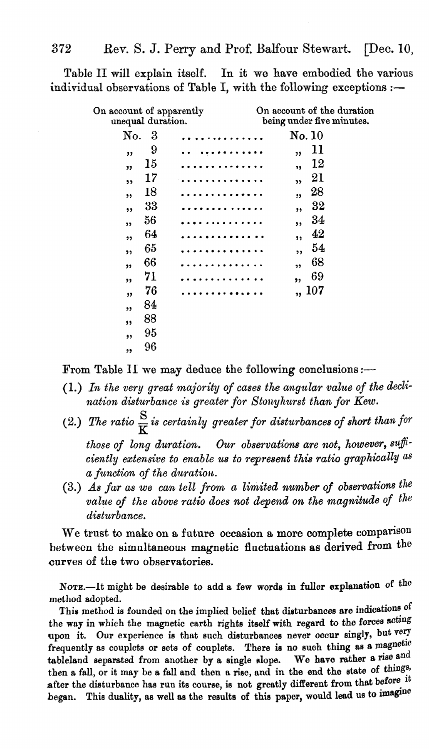Table II will explain itself. In it we have embodied the various individual observations of Table I, with the following exceptions  $:$ 

| On account of apparently<br>unequal duration. |  |                  | On account of the duration<br>being under five minutes. |
|-----------------------------------------------|--|------------------|---------------------------------------------------------|
| No.<br>3                                      |  | $\mathrm{No}.10$ |                                                         |
| 9<br>,,                                       |  | ,,               | 11                                                      |
| 15<br>,,                                      |  | ,,               | 12                                                      |
| 17<br>,                                       |  | ,,               | 21                                                      |
| 18<br>,,                                      |  | ,                | 28                                                      |
| 33<br>,,                                      |  | ,,               | 32                                                      |
| 56<br>, 1                                     |  | ,                | 34                                                      |
| 64<br>,,                                      |  | ,,               | 42                                                      |
| 65<br>,,                                      |  | ,,               | 54                                                      |
| 66<br>,,                                      |  | ,,               | 68                                                      |
| 71<br>,,                                      |  | ,,               | 69                                                      |
| 76<br>$\overline{\mathbf{v}}$                 |  |                  | ,, 107                                                  |
| 84<br>,,                                      |  |                  |                                                         |
| 88<br>,,                                      |  |                  |                                                         |
| 95<br>,,                                      |  |                  |                                                         |
| 96<br>,,                                      |  |                  |                                                         |
|                                               |  |                  |                                                         |

From Table II we may deduce the following conclusions :-

- (1.) *In the very great majority of cases the angular value of the* decli~ *nation disturbance is greater for Stony hurst than for Kew.*
- (2.) The ratio  $\frac{S}{r}$  *is certainly greater for disturbances of short than for*

*those of long duration. Our observations are not, however, sufficiently extensive to enable us to represent this ratio graphically as*   $a$  function of the duration.

(3.) *As far as we can tell from a limited number of observations the value of the above ratio does not depend on the magnitude of the disturbance.* 

We trust to make on a future occasion a more complete comparison between the simultaneous magnetic fluctuations as derived from the curves of the two observatories.

NOTE.-It might be desirable to add a few words in fuller explanation of the method adopted.

This method is founded on the implied belief that disturbances are indications of the way in which the magnetic earth rights itself with regard to the forces acting upon it. Our experience is that such disturbances never occur singly, but very frequently as couplets or sets of couplets. There is no such thing as a magnetic tableland separated from another by a single slope. We have rather a rise and then a fall, or it may be a fall and then a rise, and in the end the state of things, after the disturbance has run its course, is not greatly different from that before it hegan. This duality, as well as the results of this paper, would lead us to imagine